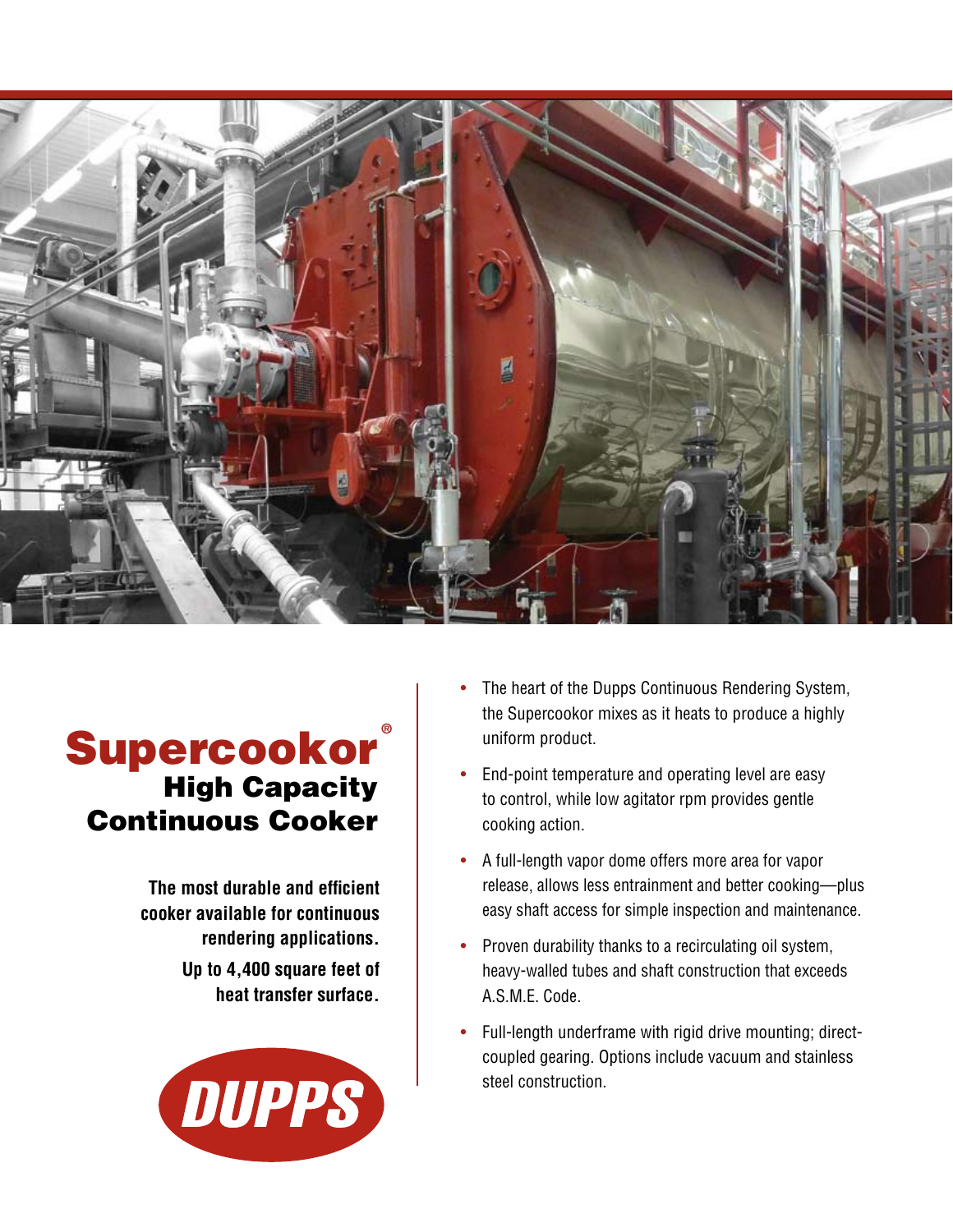

## **Supercookor**® High Capacity Continuous Cooker

**The most durable and efficient cooker available for continuous rendering applications.**

> **Up to 4,400 square feet of heat transfer surface.**



- The heart of the Dupps Continuous Rendering System, the Supercookor mixes as it heats to produce a highly uniform product.
- End-point temperature and operating level are easy to control, while low agitator rpm provides gentle cooking action.
- A full-length vapor dome offers more area for vapor release, allows less entrainment and better cooking—plus easy shaft access for simple inspection and maintenance.
- Proven durability thanks to a recirculating oil system, heavy-walled tubes and shaft construction that exceeds A.S.M.E. Code.
- Full-length underframe with rigid drive mounting; directcoupled gearing. Options include vacuum and stainless steel construction.